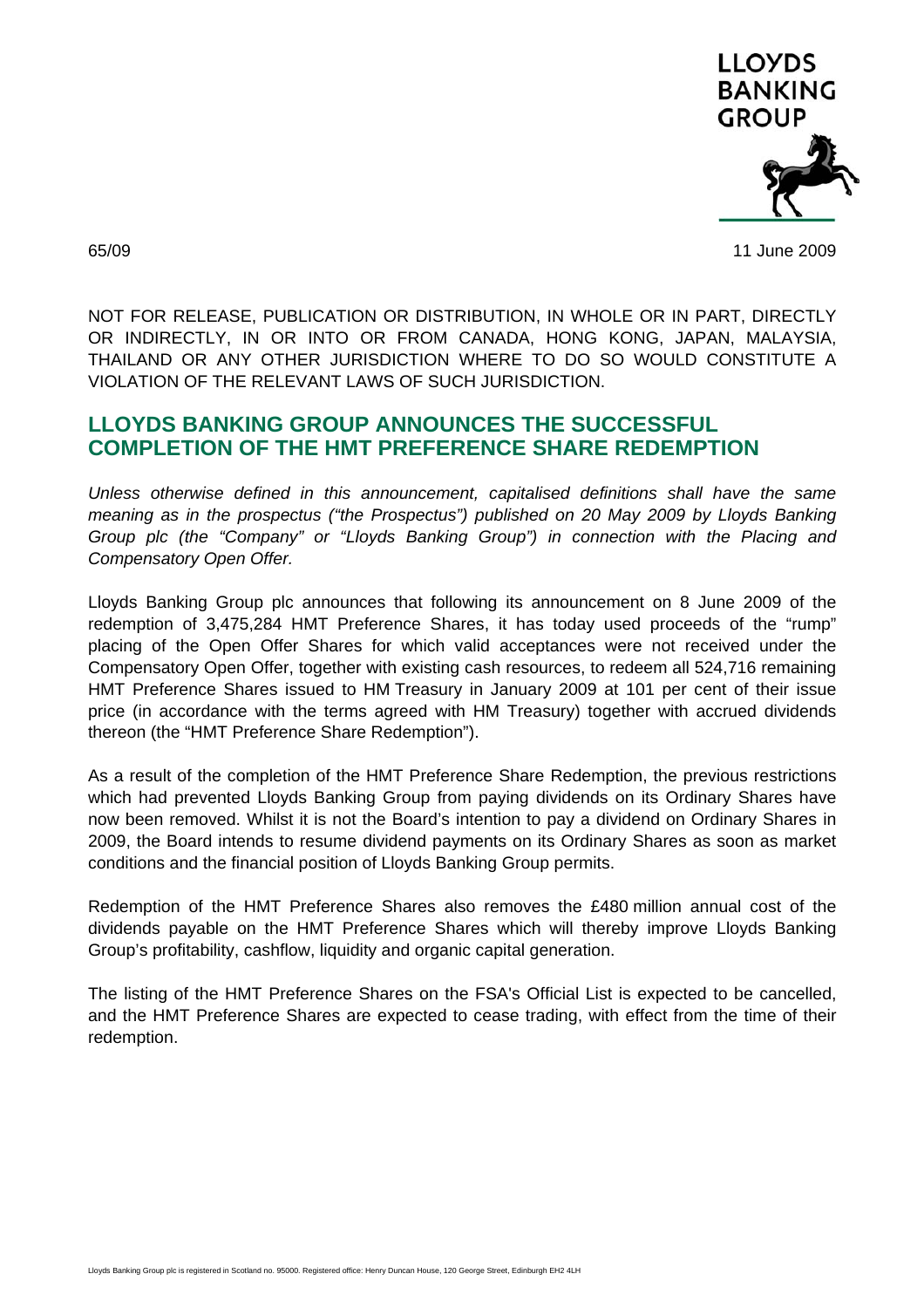

65/09 11 June 2009

NOT FOR RELEASE, PUBLICATION OR DISTRIBUTION, IN WHOLE OR IN PART, DIRECTLY OR INDIRECTLY, IN OR INTO OR FROM CANADA, HONG KONG, JAPAN, MALAYSIA, THAILAND OR ANY OTHER JURISDICTION WHERE TO DO SO WOULD CONSTITUTE A VIOLATION OF THE RELEVANT LAWS OF SUCH JURISDICTION.

## **LLOYDS BANKING GROUP ANNOUNCES THE SUCCESSFUL COMPLETION OF THE HMT PREFERENCE SHARE REDEMPTION**

*Unless otherwise defined in this announcement, capitalised definitions shall have the same meaning as in the prospectus ("the Prospectus") published on 20 May 2009 by Lloyds Banking Group plc (the "Company" or "Lloyds Banking Group") in connection with the Placing and Compensatory Open Offer.* 

Lloyds Banking Group plc announces that following its announcement on 8 June 2009 of the redemption of 3,475,284 HMT Preference Shares, it has today used proceeds of the "rump" placing of the Open Offer Shares for which valid acceptances were not received under the Compensatory Open Offer, together with existing cash resources, to redeem all 524,716 remaining HMT Preference Shares issued to HM Treasury in January 2009 at 101 per cent of their issue price (in accordance with the terms agreed with HM Treasury) together with accrued dividends thereon (the "HMT Preference Share Redemption").

As a result of the completion of the HMT Preference Share Redemption, the previous restrictions which had prevented Lloyds Banking Group from paying dividends on its Ordinary Shares have now been removed. Whilst it is not the Board's intention to pay a dividend on Ordinary Shares in 2009, the Board intends to resume dividend payments on its Ordinary Shares as soon as market conditions and the financial position of Lloyds Banking Group permits.

Redemption of the HMT Preference Shares also removes the £480 million annual cost of the dividends payable on the HMT Preference Shares which will thereby improve Lloyds Banking Group's profitability, cashflow, liquidity and organic capital generation.

The listing of the HMT Preference Shares on the FSA's Official List is expected to be cancelled, and the HMT Preference Shares are expected to cease trading, with effect from the time of their redemption.